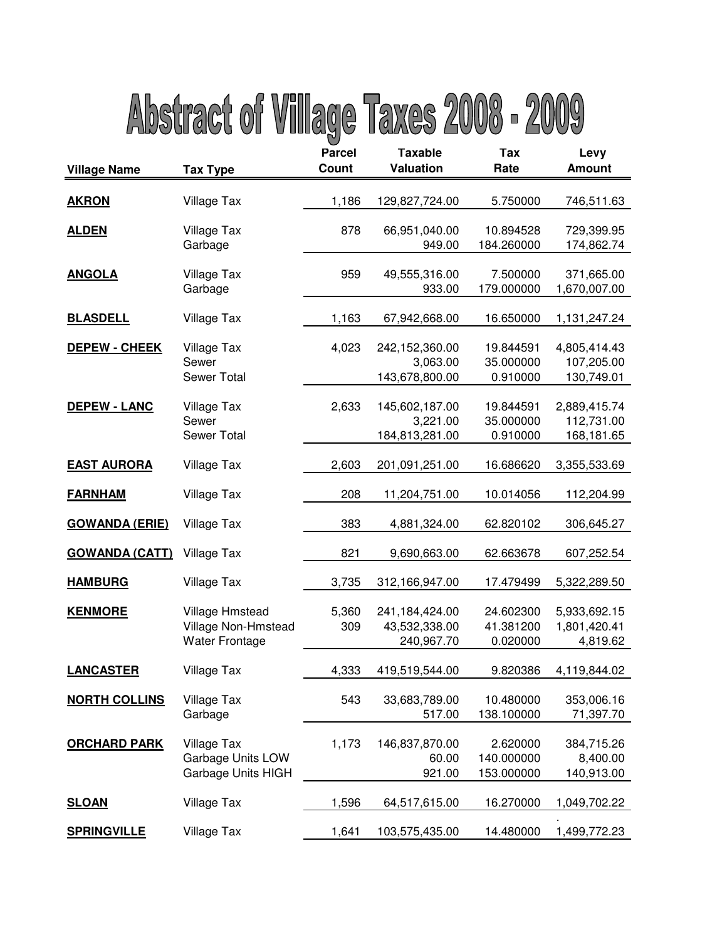## Abstract of Village Taxes 2008 - 2009

| <b>Village Name</b>   | <b>Tax Type</b>                                                        | <b>Parcel</b><br>Count | <b>Taxable</b><br><b>Valuation</b>            | Tax<br>Rate                          | Levy<br><b>Amount</b>                    |
|-----------------------|------------------------------------------------------------------------|------------------------|-----------------------------------------------|--------------------------------------|------------------------------------------|
| <b>AKRON</b>          | <b>Village Tax</b>                                                     | 1,186                  | 129,827,724.00                                | 5.750000                             | 746,511.63                               |
| <b>ALDEN</b>          | <b>Village Tax</b><br>Garbage                                          | 878                    | 66,951,040.00<br>949.00                       | 10.894528<br>184.260000              | 729,399.95<br>174,862.74                 |
| <b>ANGOLA</b>         | <b>Village Tax</b><br>Garbage                                          | 959                    | 49,555,316.00<br>933.00                       | 7.500000<br>179.000000               | 371,665.00<br>1,670,007.00               |
| <b>BLASDELL</b>       | <b>Village Tax</b>                                                     | 1,163                  | 67,942,668.00                                 | 16.650000                            | 1,131,247.24                             |
| <b>DEPEW - CHEEK</b>  | Village Tax<br>Sewer<br><b>Sewer Total</b>                             | 4,023                  | 242,152,360.00<br>3,063.00<br>143,678,800.00  | 19.844591<br>35.000000<br>0.910000   | 4,805,414.43<br>107,205.00<br>130,749.01 |
| <b>DEPEW - LANC</b>   | <b>Village Tax</b><br>Sewer<br>Sewer Total                             | 2,633                  | 145,602,187.00<br>3,221.00<br>184,813,281.00  | 19.844591<br>35.000000<br>0.910000   | 2,889,415.74<br>112,731.00<br>168,181.65 |
| <b>EAST AURORA</b>    | Village Tax                                                            | 2,603                  | 201,091,251.00                                | 16.686620                            | 3,355,533.69                             |
| <b>FARNHAM</b>        | <b>Village Tax</b>                                                     | 208                    | 11,204,751.00                                 | 10.014056                            | 112,204.99                               |
| <b>GOWANDA (ERIE)</b> | <b>Village Tax</b>                                                     | 383                    | 4,881,324.00                                  | 62.820102                            | 306,645.27                               |
| <b>GOWANDA (CATT)</b> | Village Tax                                                            | 821                    | 9,690,663.00                                  | 62.663678                            | 607,252.54                               |
| <b>HAMBURG</b>        | <b>Village Tax</b>                                                     | 3,735                  | 312,166,947.00                                | 17.479499                            | 5,322,289.50                             |
| <b>KENMORE</b>        | <b>Village Hmstead</b><br>Village Non-Hmstead<br><b>Water Frontage</b> | 5,360<br>309           | 241,184,424.00<br>43,532,338.00<br>240,967.70 | 24.602300<br>41.381200<br>0.020000   | 5,933,692.15<br>1,801,420.41<br>4,819.62 |
| <b>LANCASTER</b>      | <b>Village Tax</b>                                                     | 4,333                  | 419,519,544.00                                | 9.820386                             | 4,119,844.02                             |
| <b>NORTH COLLINS</b>  | <b>Village Tax</b><br>Garbage                                          | 543                    | 33,683,789.00<br>517.00                       | 10.480000<br>138.100000              | 353,006.16<br>71,397.70                  |
| <b>ORCHARD PARK</b>   | <b>Village Tax</b><br>Garbage Units LOW<br>Garbage Units HIGH          | 1,173                  | 146,837,870.00<br>60.00<br>921.00             | 2.620000<br>140.000000<br>153.000000 | 384,715.26<br>8,400.00<br>140,913.00     |
| <b>SLOAN</b>          | <b>Village Tax</b>                                                     | 1,596                  | 64,517,615.00                                 | 16.270000                            | 1,049,702.22                             |
| <b>SPRINGVILLE</b>    | Village Tax                                                            | 1,641                  | 103,575,435.00                                | 14.480000                            | 1,499,772.23                             |